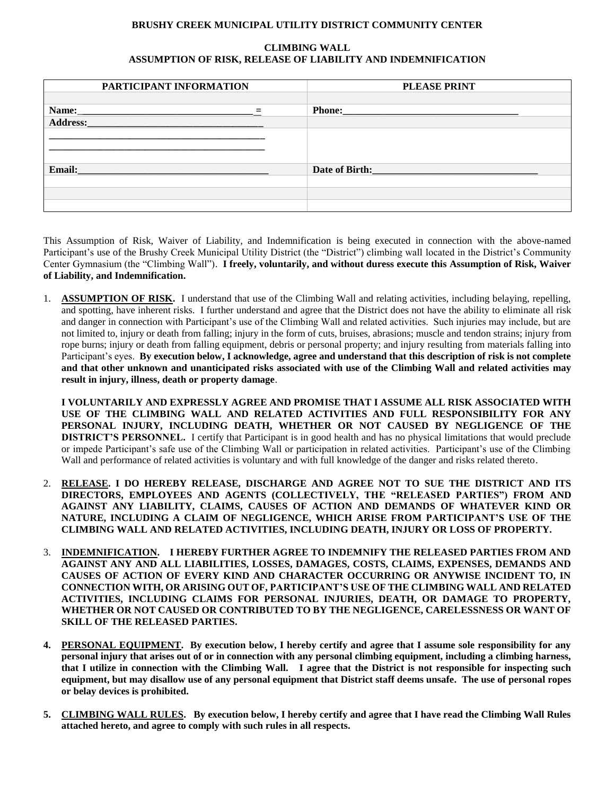## **BRUSHY CREEK MUNICIPAL UTILITY DISTRICT COMMUNITY CENTER**

## **CLIMBING WALL ASSUMPTION OF RISK, RELEASE OF LIABILITY AND INDEMNIFICATION**

| PARTICIPANT INFORMATION                                                                               | <b>PLEASE PRINT</b>                                                                                                                                                                                                                             |
|-------------------------------------------------------------------------------------------------------|-------------------------------------------------------------------------------------------------------------------------------------------------------------------------------------------------------------------------------------------------|
|                                                                                                       |                                                                                                                                                                                                                                                 |
| Name:<br>$=$                                                                                          | <b>Phone:</b><br>and the control of the control of the control of the control of the control of the control of the control of the control of the control of the control of the control of the control of the control of the control of the cont |
| Address:<br>the control of the control of the control of the control of the control of the control of |                                                                                                                                                                                                                                                 |
|                                                                                                       |                                                                                                                                                                                                                                                 |
|                                                                                                       |                                                                                                                                                                                                                                                 |
|                                                                                                       |                                                                                                                                                                                                                                                 |
| Email:<br>the control of the control of the control of the control of the control of                  | Date of Birth: The Contract of Birth:                                                                                                                                                                                                           |
|                                                                                                       |                                                                                                                                                                                                                                                 |
|                                                                                                       |                                                                                                                                                                                                                                                 |
|                                                                                                       |                                                                                                                                                                                                                                                 |

This Assumption of Risk, Waiver of Liability, and Indemnification is being executed in connection with the above-named Participant's use of the Brushy Creek Municipal Utility District (the "District") climbing wall located in the District's Community Center Gymnasium (the "Climbing Wall"). **I freely, voluntarily, and without duress execute this Assumption of Risk, Waiver of Liability, and Indemnification.**

1. **ASSUMPTION OF RISK.** I understand that use of the Climbing Wall and relating activities, including belaying, repelling, and spotting, have inherent risks. I further understand and agree that the District does not have the ability to eliminate all risk and danger in connection with Participant's use of the Climbing Wall and related activities. Such injuries may include, but are not limited to, injury or death from falling; injury in the form of cuts, bruises, abrasions; muscle and tendon strains; injury from rope burns; injury or death from falling equipment, debris or personal property; and injury resulting from materials falling into Participant's eyes. **By execution below, I acknowledge, agree and understand that this description of risk is not complete and that other unknown and unanticipated risks associated with use of the Climbing Wall and related activities may result in injury, illness, death or property damage**.

**I VOLUNTARILY AND EXPRESSLY AGREE AND PROMISE THAT I ASSUME ALL RISK ASSOCIATED WITH USE OF THE CLIMBING WALL AND RELATED ACTIVITIES AND FULL RESPONSIBILITY FOR ANY PERSONAL INJURY, INCLUDING DEATH, WHETHER OR NOT CAUSED BY NEGLIGENCE OF THE DISTRICT'S PERSONNEL.** I certify that Participant is in good health and has no physical limitations that would preclude or impede Participant's safe use of the Climbing Wall or participation in related activities. Participant's use of the Climbing Wall and performance of related activities is voluntary and with full knowledge of the danger and risks related thereto.

- 2. **RELEASE. I DO HEREBY RELEASE, DISCHARGE AND AGREE NOT TO SUE THE DISTRICT AND ITS DIRECTORS, EMPLOYEES AND AGENTS (COLLECTIVELY, THE "RELEASED PARTIES") FROM AND AGAINST ANY LIABILITY, CLAIMS, CAUSES OF ACTION AND DEMANDS OF WHATEVER KIND OR NATURE, INCLUDING A CLAIM OF NEGLIGENCE, WHICH ARISE FROM PARTICIPANT'S USE OF THE CLIMBING WALL AND RELATED ACTIVITIES, INCLUDING DEATH, INJURY OR LOSS OF PROPERTY.**
- 3. **INDEMNIFICATION. I HEREBY FURTHER AGREE TO INDEMNIFY THE RELEASED PARTIES FROM AND AGAINST ANY AND ALL LIABILITIES, LOSSES, DAMAGES, COSTS, CLAIMS, EXPENSES, DEMANDS AND CAUSES OF ACTION OF EVERY KIND AND CHARACTER OCCURRING OR ANYWISE INCIDENT TO, IN CONNECTION WITH, OR ARISING OUT OF, PARTICIPANT'S USE OF THE CLIMBING WALL AND RELATED ACTIVITIES, INCLUDING CLAIMS FOR PERSONAL INJURIES, DEATH, OR DAMAGE TO PROPERTY, WHETHER OR NOT CAUSED OR CONTRIBUTED TO BY THE NEGLIGENCE, CARELESSNESS OR WANT OF SKILL OF THE RELEASED PARTIES.**
- **4. PERSONAL EQUIPMENT. By execution below, I hereby certify and agree that I assume sole responsibility for any personal injury that arises out of or in connection with any personal climbing equipment, including a climbing harness, that I utilize in connection with the Climbing Wall. I agree that the District is not responsible for inspecting such equipment, but may disallow use of any personal equipment that District staff deems unsafe. The use of personal ropes or belay devices is prohibited.**
- **5. CLIMBING WALL RULES. By execution below, I hereby certify and agree that I have read the Climbing Wall Rules attached hereto, and agree to comply with such rules in all respects.**